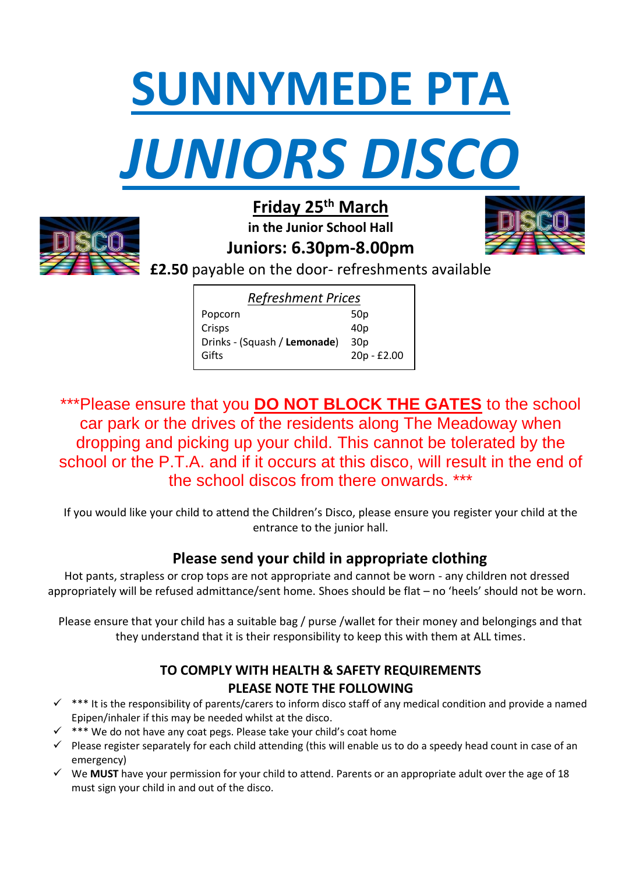



**Friday 25th March in the Junior School Hall** 





**£2.50** payable on the door- refreshments available

| <b>Refreshment Prices</b>    |                 |
|------------------------------|-----------------|
| Popcorn                      | 50p             |
| Crisps                       | 40 <sub>p</sub> |
| Drinks - (Squash / Lemonade) | 30 <sub>p</sub> |
| Gifts                        | 20p - £2.00     |
|                              |                 |

\*\*\*Please ensure that you **DO NOT BLOCK THE GATES** to the school car park or the drives of the residents along The Meadoway when dropping and picking up your child. This cannot be tolerated by the school or the P.T.A. and if it occurs at this disco, will result in the end of the school discos from there onwards. \*\*\*

If you would like your child to attend the Children's Disco, please ensure you register your child at the entrance to the junior hall.

## **Please send your child in appropriate clothing**

Hot pants, strapless or crop tops are not appropriate and cannot be worn - any children not dressed appropriately will be refused admittance/sent home. Shoes should be flat – no 'heels' should not be worn.

Please ensure that your child has a suitable bag / purse /wallet for their money and belongings and that they understand that it is their responsibility to keep this with them at ALL times.

## **TO COMPLY WITH HEALTH & SAFETY REQUIREMENTS PLEASE NOTE THE FOLLOWING**

- $\checkmark$  \*\*\* It is the responsibility of parents/carers to inform disco staff of any medical condition and provide a named Epipen/inhaler if this may be needed whilst at the disco.
- $\checkmark$  \*\*\* We do not have any coat pegs. Please take your child's coat home
- $\checkmark$  Please register separately for each child attending (this will enable us to do a speedy head count in case of an emergency)
- We **MUST** have your permission for your child to attend. Parents or an appropriate adult over the age of 18 must sign your child in and out of the disco.